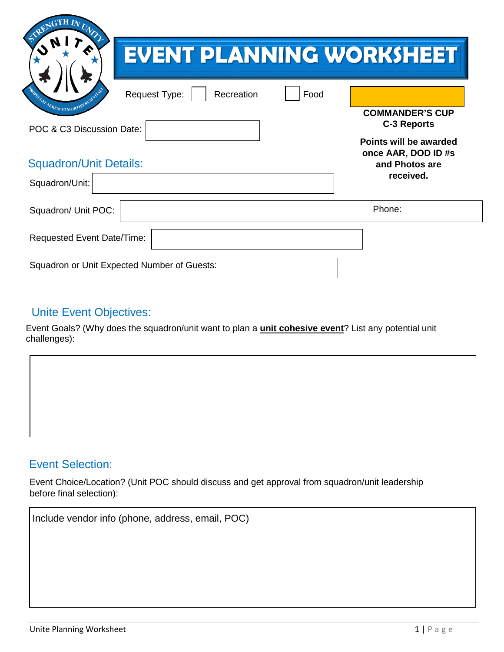| EVENT PLANNING WORKSHEET                                          |                                                                 |
|-------------------------------------------------------------------|-----------------------------------------------------------------|
| ROBULAT AEREM VI MORTIFERE<br>Recreation<br>Food<br>Request Type: |                                                                 |
| POC & C3 Discussion Date:                                         | <b>COMMANDER'S CUP</b><br>C-3 Reports                           |
| <b>Squadron/Unit Details:</b>                                     | Points will be awarded<br>once AAR, DOD ID #s<br>and Photos are |
| Squadron/Unit:                                                    | received.                                                       |
| Squadron/ Unit POC:                                               | Phone:                                                          |
| <b>Requested Event Date/Time:</b>                                 |                                                                 |
| Squadron or Unit Expected Number of Guests:                       |                                                                 |

## Unite Event Objectives:

Event Goals? (Why does the squadron/unit want to plan a **unit cohesive event**? List any potential unit challenges):



## Event Selection:

Event Choice/Location? (Unit POC should discuss and get approval from squadron/unit leadership before final selection):

| Include vendor info (phone, address, email, POC) |  |
|--------------------------------------------------|--|
|                                                  |  |
|                                                  |  |
|                                                  |  |
|                                                  |  |